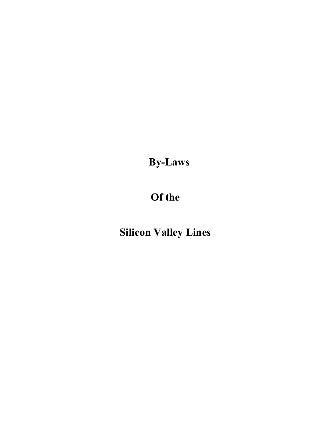**By-Laws**

# **Of the**

# **Silicon Valley Lines**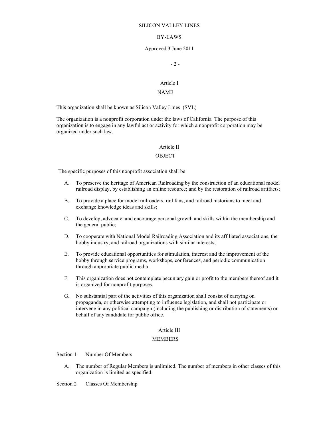## BY-LAWS

#### Approved 3 June 2011

 $-2 -$ 

# Article I

## NAME

This organization shall be known as Silicon Valley Lines (SVL)

The organization is a nonprofit corporation under the laws of California The purpose of this organization is to engage in any lawful act or activity for which a nonprofit corporation may be organized under such law.

#### Article II

#### **OBJECT**

The specific purposes of this nonprofit association shall be

- A. To preserve the heritage of American Railroading by the construction of an educational model railroad display, by establishing an online resource; and by the restoration of railroad artifacts;
- B. To provide a place for model railroaders, rail fans, and railroad historians to meet and exchange knowledge ideas and skills;
- C. To develop, advocate, and encourage personal growth and skills within the membership and the general public;
- D. To cooperate with National Model Railroading Association and its affiliated associations, the hobby industry, and railroad organizations with similar interests;
- E. To provide educational opportunities for stimulation, interest and the improvement of the hobby through service programs, workshops, conferences, and periodic communication through appropriate public media.
- F. This organization does not contemplate pecuniary gain or profit to the members thereof and it is organized for nonprofit purposes.
- G. No substantial part of the activities of this organization shall consist of carrying on propaganda, or otherwise attempting to influence legislation, and shall not participate or intervene in any political campaign (including the publishing or distribution of statements) on behalf of any candidate for public office.

## Article III

#### MEMBERS

Section 1 Number Of Members

A. The number of Regular Members is unlimited. The number of members in other classes of this organization is limited as specified.

Section 2 Classes Of Membership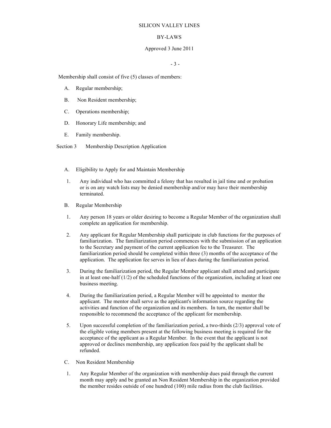## BY-LAWS

## Approved 3 June 2011

- 3 -

Membership shall consist of five (5) classes of members:

- A. Regular membership;
- B. Non Resident membership;
- C. Operations membership;
- D. Honorary Life membership; and
- E. Family membership.

Section 3 Membership Description Application

- A. Eligibility to Apply for and Maintain Membership
- 1. Any individual who has committed a felony that has resulted in jail time and or probation or is on any watch lists may be denied membership and/or may have their membership terminated.
- B. Regular Membership
- 1. Any person 18 years or older desiring to become a Regular Member of the organization shall complete an application for membership.
- 2. Any applicant for Regular Membership shall participate in club functions for the purposes of familiarization. The familiarization period commences with the submission of an application to the Secretary and payment of the current application fee to the Treasurer. The familiarization period should be completed within three (3) months of the acceptance of the application. The application fee serves in lieu of dues during the familiarization period.
- 3. During the familiarization period, the Regular Member applicant shall attend and participate in at least one-half  $(1/2)$  of the scheduled functions of the organization, including at least one business meeting.
- 4. During the familiarization period, a Regular Member will be appointed to mentor the applicant. The mentor shall serve as the applicant's information source regarding the activities and function of the organization and its members. In turn, the mentor shall be responsible to recommend the acceptance of the applicant for membership.
- 5. Upon successful completion of the familiarization period, a two-thirds (2/3) approval vote of the eligible voting members present at the following business meeting is required for the acceptance of the applicant as a Regular Member. In the event that the applicant is not approved or declines membership, any application fees paid by the applicant shall be refunded.
- C. Non Resident Membership
- 1. Any Regular Member of the organization with membership dues paid through the current month may apply and be granted an Non Resident Membership in the organization provided the member resides outside of one hundred (100) mile radius from the club facilities.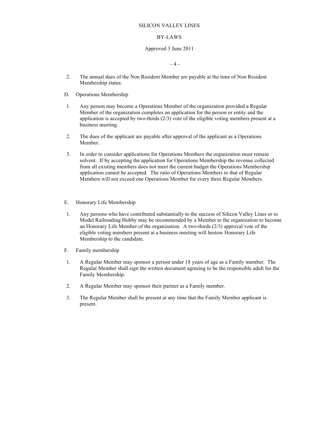## BY-LAWS

## Approved 3 June 2011

 $-4-$ 

- 2. The annual dues of the Non Resident Member are payable at the time of Non Resident Membership status.
- D. Operations Membership
- 1. Any person may become a Operations Member of the organization provided a Regular Member of the organization completes an application for the person or entity and the application is accepted by two-thirds (2/3) vote of the eligible voting members present at a business meeting.
- 2. The dues of the applicant are payable after approval of the applicant as a Operations Member.
- 3. In order to consider applications for Operations Members the organization must remain solvent. If by accepting the application for Operations Membership the revenue collected from all existing members does not meet the current budget the Operations Membership application cannot be accepted. The ratio of Operations Members to that of Regular Members will not exceed one Operations Member for every three Regular Members.
- E. Honorary Life Membership
- 1. Any persons who have contributed substantially to the success of Silicon Valley Lines or to Model Railroading Hobby may be recommended by a Member to the organization to become an Honorary Life Member of the organization. A two-thirds (2/3) approval vote of the eligible voting members present at a business meeting will bestow Honorary Life Membership to the candidate.
- F. Family membership
- 1. A Regular Member may sponsor a person under 18 years of age as a Family member. The Regular Member shall sign the written document agreeing to be the responsible adult for the Family Membership.
- 2. A Regular Member may sponsor their partner as a Family member.
- 3. The Regular Member shall be present at any time that the Family Member applicant is present.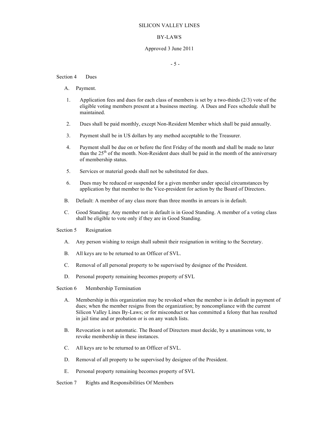## BY-LAWS

## Approved 3 June 2011

- 5 -

## Section 4 Dues

- A. Payment.
- 1. Application fees and dues for each class of members is set by a two-thirds (2/3) vote of the eligible voting members present at a business meeting. A Dues and Fees schedule shall be maintained.
- 2. Dues shall be paid monthly, except Non-Resident Member which shall be paid annually.
- 3. Payment shall be in US dollars by any method acceptable to the Treasurer.
- 4. Payment shall be due on or before the first Friday of the month and shall be made no later than the  $25<sup>th</sup>$  of the month. Non-Resident dues shall be paid in the month of the anniversary of membership status.
- 5. Services or material goods shall not be substituted for dues.
- 6. Dues may be reduced or suspended for a given member under special circumstances by application by that member to the Vice-president for action by the Board of Directors.
- B. Default: A member of any class more than three months in arrears is in default.
- C. Good Standing: Any member not in default is in Good Standing. A member of a voting class shall be eligible to vote only if they are in Good Standing.

## Section 5 Resignation

- A. Any person wishing to resign shall submit their resignation in writing to the Secretary.
- B. All keys are to be returned to an Officer of SVL.
- C. Removal of all personal property to be supervised by designee of the President.
- D. Personal property remaining becomes property of SVL

## Section 6 Membership Termination

- A. Membership in this organization may be revoked when the member is in default in payment of dues; when the member resigns from the organization; by noncompliance with the current Silicon Valley Lines By-Laws; or for misconduct or has committed a felony that has resulted in jail time and or probation or is on any watch lists.
- B. Revocation is not automatic. The Board of Directors must decide, by a unanimous vote, to revoke membership in these instances.
- C. All keys are to be returned to an Officer of SVL.
- D. Removal of all property to be supervised by designee of the President.
- E. Personal property remaining becomes property of SVL
- Section 7 Rights and Responsibilities Of Members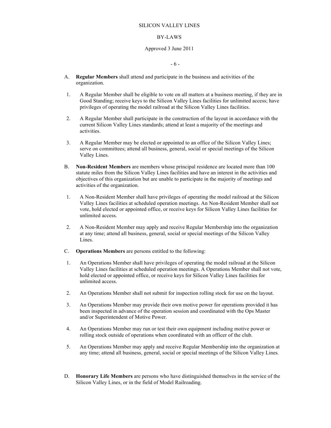## BY-LAWS

## Approved 3 June 2011

- 6 -

- A. **Regular Members** shall attend and participate in the business and activities of the organization.
- 1. A Regular Member shall be eligible to vote on all matters at a business meeting, if they are in Good Standing; receive keys to the Silicon Valley Lines facilities for unlimited access; have privileges of operating the model railroad at the Silicon Valley Lines facilities.
- 2. A Regular Member shall participate in the construction of the layout in accordance with the current Silicon Valley Lines standards; attend at least a majority of the meetings and activities.
- 3. A Regular Member may be elected or appointed to an office of the Silicon Valley Lines; serve on committees; attend all business, general, social or special meetings of the Silicon Valley Lines.
- B. **Non-Resident Members** are members whose principal residence are located more than 100 statute miles from the Silicon Valley Lines facilities and have an interest in the activities and objectives of this organization but are unable to participate in the majority of meetings and activities of the organization.
- 1. A Non-Resident Member shall have privileges of operating the model railroad at the Silicon Valley Lines facilities at scheduled operation meetings. An Non-Resident Member shall not vote, hold elected or appointed office, or receive keys for Silicon Valley Lines facilities for unlimited access.
- 2. A Non-Resident Member may apply and receive Regular Membership into the organization at any time; attend all business, general, social or special meetings of the Silicon Valley Lines.
- C. **Operations Members** are persons entitled to the following:
- 1. An Operations Member shall have privileges of operating the model railroad at the Silicon Valley Lines facilities at scheduled operation meetings. A Operations Member shall not vote, hold elected or appointed office, or receive keys for Silicon Valley Lines facilities for unlimited access.
- 2. An Operations Member shall not submit for inspection rolling stock for use on the layout.
- 3. An Operations Member may provide their own motive power for operations provided it has been inspected in advance of the operation session and coordinated with the Ops Master and/or Superintendent of Motive Power.
- 4. An Operations Member may run or test their own equipment including motive power or rolling stock outside of operations when coordinated with an officer of the club.
- 5. An Operations Member may apply and receive Regular Membership into the organization at any time; attend all business, general, social or special meetings of the Silicon Valley Lines.
- D. **Honorary Life Members** are persons who have distinguished themselves in the service of the Silicon Valley Lines, or in the field of Model Railroading.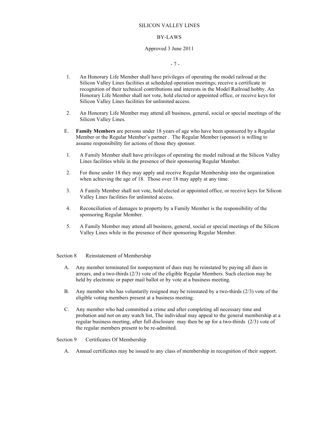## BY-LAWS

## Approved 3 June 2011

- 7 -

- 1. An Honorary Life Member shall have privileges of operating the model railroad at the Silicon Valley Lines facilities at scheduled operation meetings; receive a certificate in recognition of their technical contributions and interests in the Model Railroad hobby. An Honorary Life Member shall not vote, hold elected or appointed office, or receive keys for Silicon Valley Lines facilities for unlimited access.
- 2. An Honorary Life Member may attend all business, general, social or special meetings of the Silicon Valley Lines.
- E. **Family Members** are persons under 18 years of age who have been sponsored by a Regular Member or the Regular Member's partner . The Regular Member (sponsor) is willing to assume responsibility for actions of those they sponsor.
- 1. A Family Member shall have privileges of operating the model railroad at the Silicon Valley Lines facilities while in the presence of their sponsoring Regular Member.
- 2. For those under 18 they may apply and receive Regular Membership into the organization when achieving the age of 18. Those over 18 may apply at any time.
- 3. A Family Member shall not vote, hold elected or appointed office, or receive keys for Silicon Valley Lines facilities for unlimited access.
- 4. Reconciliation of damages to property by a Family Member is the responsibility of the sponsoring Regular Member.
- 5. A Family Member may attend all business, general, social or special meetings of the Silicon Valley Lines while in the presence of their sponsoring Regular Member.

## Section 8 Reinstatement of Membership

- A. Any member terminated for nonpayment of dues may be reinstated by paying all dues in arrears, and a two-thirds (2/3) vote of the eligible Regular Members. Such election may be held by electronic or paper mail ballot or by vote at a business meeting.
- B. Any member who has voluntarily resigned may be reinstated by a two-thirds (2/3) vote of the eligible voting members present at a business meeting.
- C. Any member who had committed a crime and after completing all necessary time and probation and not on any watch list, The individual may appeal to the general membership at a regular business meeting, after full disclosure may then be up for a two-thirds (2/3) vote of the regular members present to be re-admitted.

## Section 9 Certificates Of Membership

A. Annual certificates may be issued to any class of membership in recognition of their support.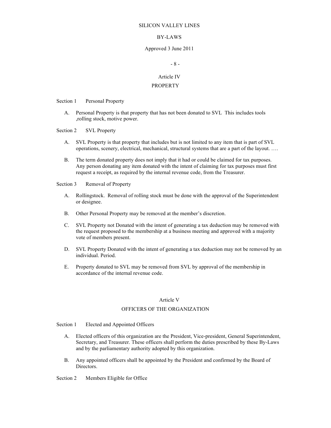#### BY-LAWS

#### Approved 3 June 2011

## - 8 -

#### Article IV

#### PROPERTY

Section 1 Personal Property

A. Personal Property is that property that has not been donated to SVL This includes tools ,rolling stock, motive power.

Section 2 SVL Property

- A. SVL Property is that property that includes but is not limited to any item that is part of SVL operations, scenery, electrical, mechanical, structural systems that are a part of the layout. ….
- B. The term donated property does not imply that it had or could be claimed for tax purposes. Any person donating any item donated with the intent of claiming for tax purposes must first request a receipt, as required by the internal revenue code, from the Treasurer.

Section 3 Removal of Property

- A. Rollingstock. Removal of rolling stock must be done with the approval of the Superintendent or designee.
- B. Other Personal Property may be removed at the member's discretion.
- C. SVL Property not Donated with the intent of generating a tax deduction may be removed with the request proposed to the membership at a business meeting and approved with a majority vote of members present.
- D. SVL Property Donated with the intent of generating a tax deduction may not be removed by an individual. Period.
- E. Property donated to SVL may be removed from SVL by approval of the membership in accordance of the internal revenue code.

## Article V

# OFFICERS OF THE ORGANIZATION

Section 1 Elected and Appointed Officers

- A. Elected officers of this organization are the President, Vice-president, General Superintendent, Secretary, and Treasurer. These officers shall perform the duties prescribed by these By-Laws and by the parliamentary authority adopted by this organization.
- B. Any appointed officers shall be appointed by the President and confirmed by the Board of Directors.

Section 2 Members Eligible for Office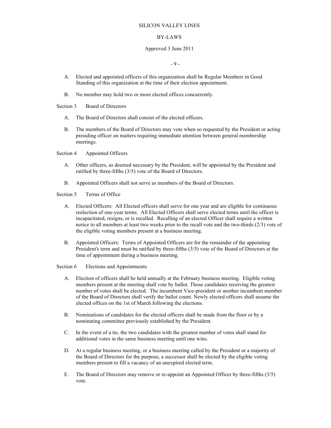## BY-LAWS

## Approved 3 June 2011

- 9 -

- A. Elected and appointed officers of this organization shall be Regular Members in Good Standing of this organization at the time of their election appointment.
- B. No member may hold two or more elected offices concurrently.

## Section 3 Board of Directors

- A. The Board of Directors shall consist of the elected officers.
- B. The members of the Board of Directors may vote when so requested by the President or acting presiding officer on matters requiring immediate attention between general membership meetings.

Section 4 Appointed Officers

- A. Other officers, as deemed necessary by the President, will be appointed by the President and ratified by three-fifths (3/5) vote of the Board of Directors.
- B. Appointed Officers shall not serve as members of the Board of Directors.

Section 5 Terms of Office

- A. Elected Officers: All Elected officers shall serve for one year and are eligible for continuous reelection of one-year terms. All Elected Officers shall serve elected terms until the officer is incapacitated, resigns, or is recalled. Recalling of an elected Officer shall require a written notice to all members at least two weeks prior to the recall vote and the two-thirds (2/3) vote of the eligible voting members present at a business meeting.
- B. Appointed Officers: Terms of Appointed Officers are for the remainder of the appointing President's term and must be ratified by three-fifths (3/5) vote of the Board of Directors at the time of appointment during a business meeting.

Section 6 Elections and Appointments

- A. Election of officers shall be held annually at the February business meeting. Eligible voting members present at the meeting shall vote by ballot. Those candidates receiving the greatest number of votes shall be elected. The incumbent Vice-president or another incumbent member of the Board of Directors shall verify the ballot count. Newly elected officers shall assume the elected offices on the 1st of March following the elections.
- B. Nominations of candidates for the elected officers shall be made from the floor or by a nominating committee previously established by the President.
- C. In the event of a tie, the two candidates with the greatest number of votes shall stand for additional votes in the same business meeting until one wins.
- D. At a regular business meeting, or a business meeting called by the President or a majority of the Board of Directors for the purpose, a successor shall be elected by the eligible voting members present to fill a vacancy of an unexpired elected term.
- E. The Board of Directors may remove or re-appoint an Appointed Officer by three-fifths (3/5) vote.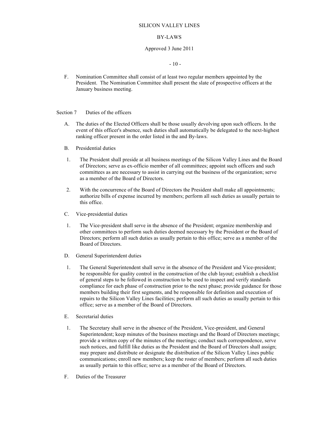#### BY-LAWS

#### Approved 3 June 2011

#### $-10-$

F. Nomination Committee shall consist of at least two regular members appointed by the President. The Nomination Committee shall present the slate of prospective officers at the January business meeting.

Section 7 Duties of the officers

- A. The duties of the Elected Officers shall be those usually devolving upon such officers. In the event of this officer's absence, such duties shall automatically be delegated to the next-highest ranking officer present in the order listed in the and By-laws.
- B. Presidential duties
- 1. The President shall preside at all business meetings of the Silicon Valley Lines and the Board of Directors; serve as ex-officio member of all committees; appoint such officers and such committees as are necessary to assist in carrying out the business of the organization; serve as a member of the Board of Directors.
- 2. With the concurrence of the Board of Directors the President shall make all appointments; authorize bills of expense incurred by members; perform all such duties as usually pertain to this office.
- C. Vice-presidential duties
- 1. The Vice-president shall serve in the absence of the President; organize membership and other committees to perform such duties deemed necessary by the President or the Board of Directors; perform all such duties as usually pertain to this office; serve as a member of the Board of Directors.
- D. General Superintendent duties
- 1. The General Superintendent shall serve in the absence of the President and Vice-president; be responsible for quality control in the construction of the club layout; establish a checklist of general steps to be followed in construction to be used to inspect and verify standards compliance for each phase of construction prior to the next phase; provide guidance for those members building their first segments, and be responsible for definition and execution of repairs to the Silicon Valley Lines facilities; perform all such duties as usually pertain to this office; serve as a member of the Board of Directors.
- E. Secretarial duties
- 1. The Secretary shall serve in the absence of the President, Vice-president, and General Superintendent; keep minutes of the business meetings and the Board of Directors meetings; provide a written copy of the minutes of the meetings; conduct such correspondence, serve such notices, and fulfill like duties as the President and the Board of Directors shall assign; may prepare and distribute or designate the distribution of the Silicon Valley Lines public communications; enroll new members; keep the roster of members; perform all such duties as usually pertain to this office; serve as a member of the Board of Directors.
- F. Duties of the Treasurer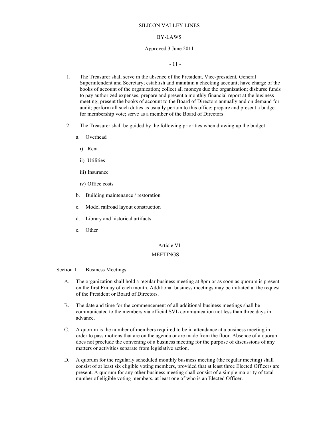#### BY-LAWS

#### Approved 3 June 2011

- 11 -

- 1. The Treasurer shall serve in the absence of the President, Vice-president*,* General Superintendent and Secretary; establish and maintain a checking account; have charge of the books of account of the organization; collect all moneys due the organization; disburse funds to pay authorized expenses; prepare and present a monthly financial report at the business meeting; present the books of account to the Board of Directors annually and on demand for audit; perform all such duties as usually pertain to this office; prepare and present a budget for membership vote; serve as a member of the Board of Directors.
- 2. The Treasurer shall be guided by the following priorities when drawing up the budget:
	- a. Overhead
		- i) Rent
		- ii) Utilities
		- iii) Insurance
		- iv) Office costs
	- b. Building maintenance / restoration
	- c. Model railroad layout construction
	- d. Library and historical artifacts
	- e. Other

#### Article VI

#### **MEETINGS**

#### Section 1 Business Meetings

- A. The organization shall hold a regular business meeting at 8pm or as soon as quorum is present on the first Friday of each month. Additional business meetings may be initiated at the request of the President or Board of Directors.
- B. The date and time for the commencement of all additional business meetings shall be communicated to the members via official SVL communication not less than three days in advance.
- C. A quorum is the number of members required to be in attendance at a business meeting in order to pass motions that are on the agenda or are made from the floor. Absence of a quorum does not preclude the convening of a business meeting for the purpose of discussions of any matters or activities separate from legislative action.
- D. A quorum for the regularly scheduled monthly business meeting (the regular meeting) shall consist of at least six eligible voting members, provided that at least three Elected Officers are present. A quorum for any other business meeting shall consist of a simple majority of total number of eligible voting members, at least one of who is an Elected Officer.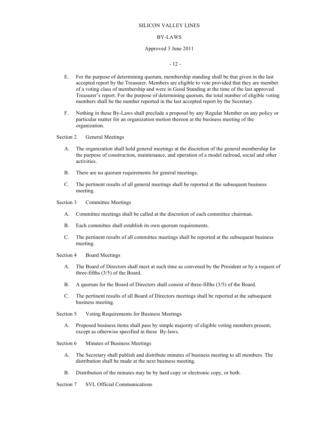#### BY-LAWS

#### Approved 3 June 2011

 $-12 -$ 

- E. For the purpose of determining quorum, membership standing shall be that given in the last accepted report by the Treasurer. Members are eligible to vote provided that they are member of a voting class of membership and were in Good Standing at the time of the last approved Treasurer's report. For the purpose of determining quorum, the total number of eligible voting members shall be the number reported in the last accepted report by the Secretary.
- F. Nothing in these By-Laws shall preclude a proposal by any Regular Member on any policy or particular matter for an organization motion thereon at the business meeting of the organization.

Section 2 General Meetings

- A. The organization shall hold general meetings at the discretion of the general membership for the purpose of construction, maintenance, and operation of a model railroad, social and other activities.
- B. There are no quorum requirements for general meetings.
- C. The pertinent results of all general meetings shall be reported at the subsequent business meeting.

Section 3 Committee Meetings

- A. Committee meetings shall be called at the discretion of each committee chairman.
- B. Each committee shall establish its own quorum requirements.
- C. The pertinent results of all committee meetings shall be reported at the subsequent business meeting.

Section 4 Board Meetings

- A. The Board of Directors shall meet at such time as convened by the President or by a request of three-fifths (3/5) of the Board.
- B. A quorum for the Board of Directors shall consist of three-fifths (3/5) of the Board.
- C. The pertinent results of all Board of Directors meetings shall be reported at the subsequent business meeting.

Section 5 Voting Requirements for Business Meetings

A. Proposed business items shall pass by simple majority of eligible voting members present, except as otherwise specified in these By-laws.

Section 6 Minutes of Business Meetings

- A. The Secretary shall publish and distribute minutes of business meeting to all members. The distribution shall be made at the next business meeting.
- B. Distribution of the minutes may be by hard copy or electronic copy, or both.

Section 7 SVL Official Communications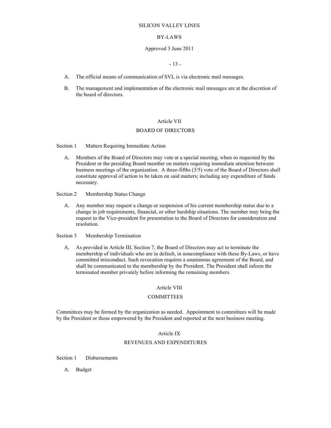#### BY-LAWS

#### Approved 3 June 2011

#### - 13 -

- A. The official means of communication of SVL is via electronic mail messages.
- B. The management and implementation of the electronic mail messages are at the discretion of the board of directors.

## Article VII

## BOARD OF DIRECTORS

Section 1 Matters Requiring Immediate Action

A. Members of the Board of Directors may vote at a special meeting, when so requested by the President or the presiding Board member on matters requiring immediate attention between business meetings of the organization. A three-fifths (3/5) vote of the Board of Directors shall constitute approval of action to be taken on said matters; including any expenditure of funds necessary.

Section 2 Membership Status Change

A. Any member may request a change or suspension of his current membership status due to a change in job requirements, financial, or other hardship situations. The member may bring the request to the Vice-president for presentation to the Board of Directors for consideration and resolution.

Section 3 Membership Termination

A. As provided in Article III, Section 7, the Board of Directors may act to terminate the membership of individuals who are in default, in noncompliance with these By-Laws, or have committed misconduct. Such revocation requires a unanimous agreement of the Board, and shall be communicated to the membership by the President. The President shall inform the terminated member privately before informing the remaining members.

#### Article VIII

#### **COMMITTEES**

Committees may be formed by the organization as needed. Appointment to committees will be made by the President or those empowered by the President and reported at the next business meeting.

## Article IX

## REVENUES AND EXPENDITURES

Section 1 Disbursements

A. Budget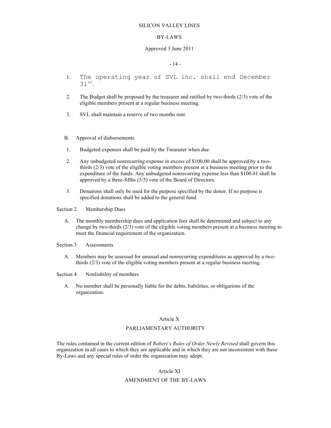#### BY-LAWS

#### Approved 3 June 2011

## $-14$

- 1. The operating year of SVL inc. shall end December  $31<sup>st</sup>$ .
- 2. The Budget shall be proposed by the treasurer and ratified by two-thirds (2/3) vote of the eligible members present at a regular business meeting.
- 3. SVL shall maintain a reserve of two months rent.
- B. Approval of disbursements
- 1. Budgeted expenses shall be paid by the Treasurer when due.
- 2. Any unbudgeted nonrecurring expense in excess of \$100.00 shall be approved by a twothirds (2/3) vote of the eligible voting members present at a business meeting prior to the expenditure of the funds. Any unbudgeted nonrecurring expense less than \$100.01 shall be approved by a three-fifths (3/5) vote of the Board of Directors.
- 3. Donations shall only be used for the purpose specified by the donor. If no purpose is specified donations shall be added to the general fund.
- Section 2 Membership Dues
	- A. The monthly membership dues and application fees shall be determined and subject to any change by two-thirds (2/3) vote of the eligible voting members present at a business meeting to meet the financial requirement of the organization.

Section 3 Assessments

A. Members may be assessed for unusual and nonrecurring expenditures as approved by a twothirds (2/3) vote of the eligible voting members present at a regular business meeting.

Section 4 Nonliability of members

A. No member shall be personally liable for the debts, liabilities, or obligations of the organization.

#### Article X

#### PARLIAMENTARY AUTHORITY

The rules contained in the current edition of *Robert's Rules of Order Newly Revised* shall govern this organization in all cases to which they are applicable and in which they are not inconsistent with these By-Laws and any special rules of order the organization may adopt.

## Article XI

## AMENDMENT OF THE BY-LAWS